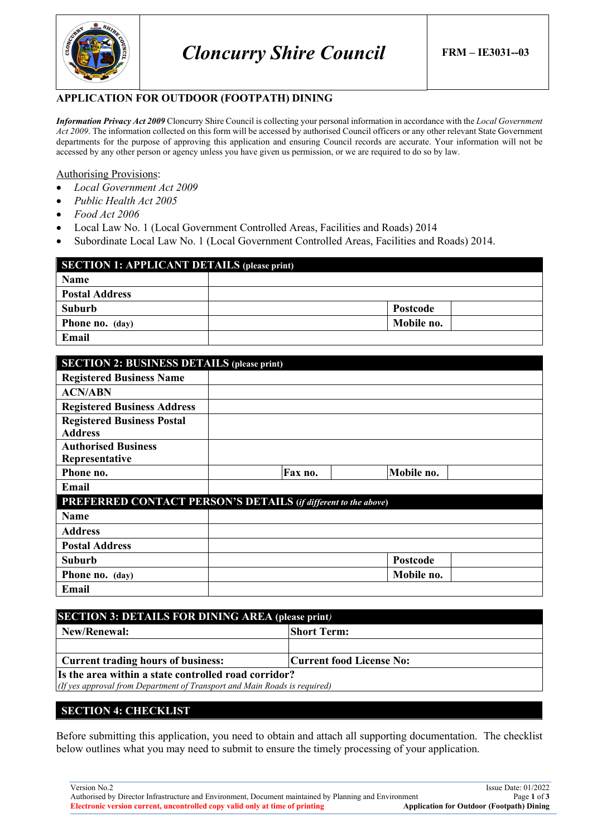

### **APPLICATION FOR OUTDOOR (FOOTPATH) DINING**

*Information Privacy Act 2009* Cloncurry Shire Council is collecting your personal information in accordance with the *Local Government Act 2009*. The information collected on this form will be accessed by authorised Council officers or any other relevant State Government departments for the purpose of approving this application and ensuring Council records are accurate. Your information will not be accessed by any other person or agency unless you have given us permission, or we are required to do so by law.

#### Authorising Provisions:

- *Local Government Act 2009*
- *Public Health Act 2005*
- *Food Act 2006*
- Local Law No. 1 (Local Government Controlled Areas, Facilities and Roads) 2014
- Subordinate Local Law No. 1 (Local Government Controlled Areas, Facilities and Roads) 2014.

| <b>SECTION 1: APPLICANT DETAILS (please print)</b> |            |  |  |
|----------------------------------------------------|------------|--|--|
| Name                                               |            |  |  |
| <b>Postal Address</b>                              |            |  |  |
| Suburb                                             | Postcode   |  |  |
| <b>Phone no.</b> (day)                             | Mobile no. |  |  |
| Email                                              |            |  |  |

| <b>SECTION 2: BUSINESS DETAILS (please print)</b>                     |  |         |  |            |  |
|-----------------------------------------------------------------------|--|---------|--|------------|--|
| <b>Registered Business Name</b>                                       |  |         |  |            |  |
| <b>ACN/ABN</b>                                                        |  |         |  |            |  |
| <b>Registered Business Address</b>                                    |  |         |  |            |  |
| <b>Registered Business Postal</b>                                     |  |         |  |            |  |
| <b>Address</b>                                                        |  |         |  |            |  |
| <b>Authorised Business</b>                                            |  |         |  |            |  |
| Representative                                                        |  |         |  |            |  |
| Phone no.                                                             |  | Fax no. |  | Mobile no. |  |
| Email                                                                 |  |         |  |            |  |
| <b>PREFERRED CONTACT PERSON'S DETAILS (if different to the above)</b> |  |         |  |            |  |
| <b>Name</b>                                                           |  |         |  |            |  |
| <b>Address</b>                                                        |  |         |  |            |  |
| <b>Postal Address</b>                                                 |  |         |  |            |  |
| <b>Suburb</b>                                                         |  |         |  | Postcode   |  |
| Phone no. (day)                                                       |  |         |  | Mobile no. |  |
| Email                                                                 |  |         |  |            |  |

| <b>SECTION 3: DETAILS FOR DINING AREA (please print)</b>                                                                          |  |  |  |
|-----------------------------------------------------------------------------------------------------------------------------------|--|--|--|
| Short Term:<br>New/Renewal:                                                                                                       |  |  |  |
|                                                                                                                                   |  |  |  |
| <b>Current trading hours of business:</b><br> Current food License No:                                                            |  |  |  |
| Is the area within a state controlled road corridor?<br>(If yes approval from Department of Transport and Main Roads is required) |  |  |  |

## **SECTION 4: CHECKLIST**

Before submitting this application, you need to obtain and attach all supporting documentation. The checklist below outlines what you may need to submit to ensure the timely processing of your application.

Version No.2 Issue Date: 01/2022 Authorised by Director Infrastructure and Environment, Document maintained by Planning and Environment Page **1** of **3 Electronic version current, uncontrolled copy valid only at time of printing**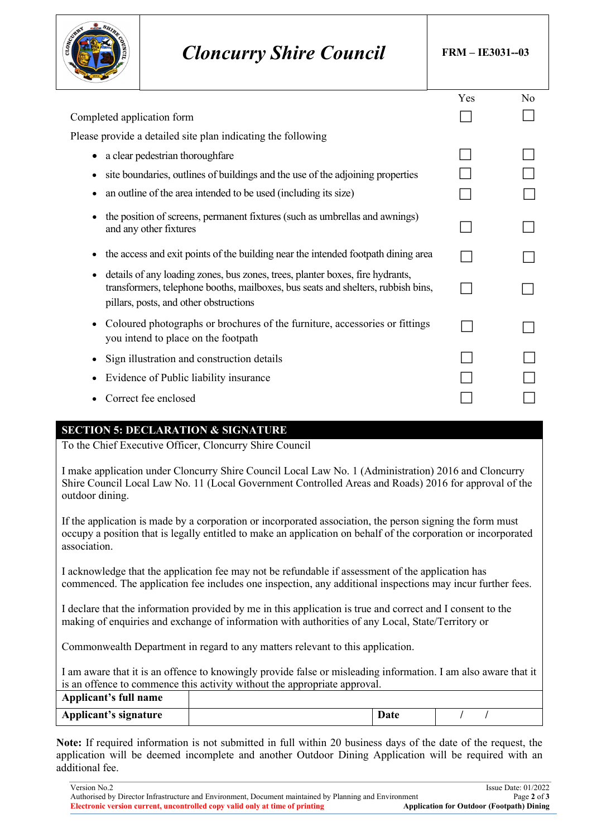

# *Cloncurry Shire Council* **FRM – IE3031--03**

|                                                                                                                                                                                                                  | Yes | No |
|------------------------------------------------------------------------------------------------------------------------------------------------------------------------------------------------------------------|-----|----|
| Completed application form                                                                                                                                                                                       |     |    |
| Please provide a detailed site plan indicating the following                                                                                                                                                     |     |    |
| a clear pedestrian thoroughfare<br>$\bullet$                                                                                                                                                                     |     |    |
| site boundaries, outlines of buildings and the use of the adjoining properties<br>$\bullet$                                                                                                                      |     |    |
| an outline of the area intended to be used (including its size)<br>٠                                                                                                                                             |     |    |
| the position of screens, permanent fixtures (such as umbrellas and awnings)<br>$\bullet$<br>and any other fixtures                                                                                               |     |    |
| the access and exit points of the building near the intended footpath dining area<br>٠                                                                                                                           |     |    |
| details of any loading zones, bus zones, trees, planter boxes, fire hydrants,<br>٠<br>transformers, telephone booths, mailboxes, bus seats and shelters, rubbish bins,<br>pillars, posts, and other obstructions |     |    |
| Coloured photographs or brochures of the furniture, accessories or fittings<br>$\bullet$<br>you intend to place on the footpath                                                                                  |     |    |
| Sign illustration and construction details<br>٠                                                                                                                                                                  |     |    |
| Evidence of Public liability insurance<br>$\bullet$                                                                                                                                                              |     |    |
| Correct fee enclosed                                                                                                                                                                                             |     |    |
|                                                                                                                                                                                                                  |     |    |

### **SECTION 5: DECLARATION & SIGNATURE**

To the Chief Executive Officer, Cloncurry Shire Council

I make application under Cloncurry Shire Council Local Law No. 1 (Administration) 2016 and Cloncurry Shire Council Local Law No. 11 (Local Government Controlled Areas and Roads) 2016 for approval of the outdoor dining.

If the application is made by a corporation or incorporated association, the person signing the form must occupy a position that is legally entitled to make an application on behalf of the corporation or incorporated association.

I acknowledge that the application fee may not be refundable if assessment of the application has commenced. The application fee includes one inspection, any additional inspections may incur further fees.

I declare that the information provided by me in this application is true and correct and I consent to the making of enquiries and exchange of information with authorities of any Local, State/Territory or

Commonwealth Department in regard to any matters relevant to this application.

I am aware that it is an offence to knowingly provide false or misleading information. I am also aware that it is an offence to commence this activity without the appropriate approval.

| Applicant's full name        |      |  |
|------------------------------|------|--|
| <b>Applicant's signature</b> | Date |  |

**Note:** If required information is not submitted in full within 20 business days of the date of the request, the application will be deemed incomplete and another Outdoor Dining Application will be required with an additional fee.